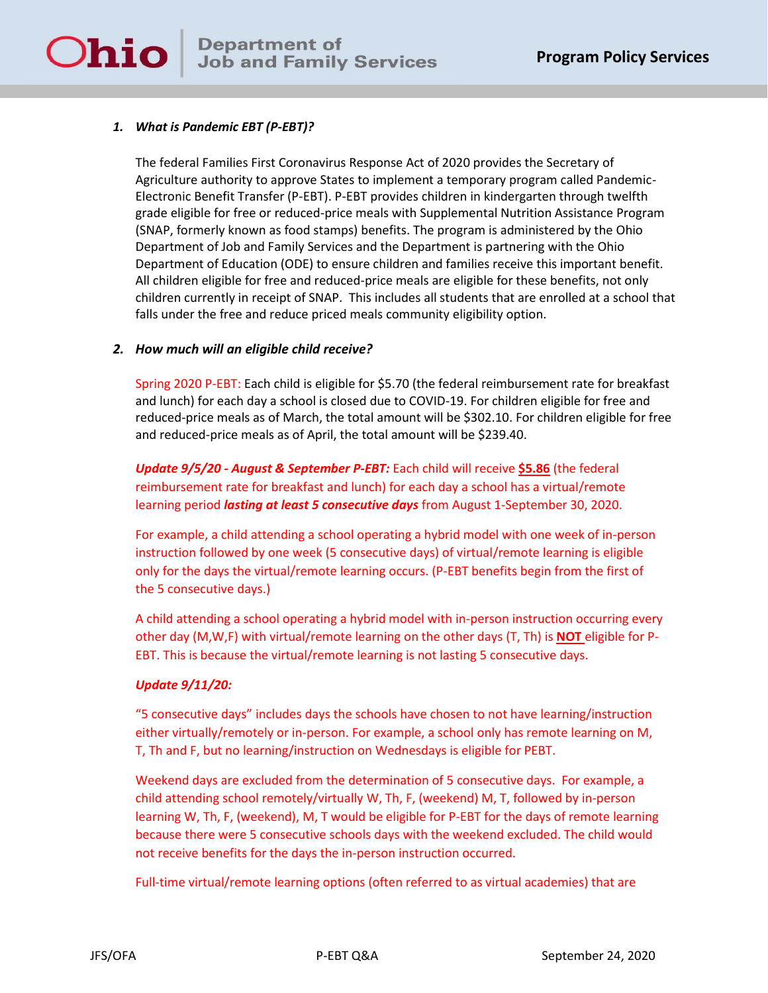# **Department of<br>Job and Family Job and Family Services**

# *1. What is Pandemic EBT (P-EBT)?*

**Ohio** 

The federal Families First Coronavirus Response Act of 2020 provides the Secretary of Agriculture authority to approve States to implement a temporary program called Pandemic-Electronic Benefit Transfer (P-EBT). P-EBT provides children in kindergarten through twelfth grade eligible for free or reduced-price meals with Supplemental Nutrition Assistance Program (SNAP, formerly known as food stamps) benefits. The program is administered by the Ohio Department of Job and Family Services and the Department is partnering with the Ohio Department of Education (ODE) to ensure children and families receive this important benefit. All children eligible for free and reduced-price meals are eligible for these benefits, not only children currently in receipt of SNAP. This includes all students that are enrolled at a school that falls under the free and reduce priced meals community eligibility option.

# *2. How much will an eligible child receive?*

Spring 2020 P-EBT: Each child is eligible for \$5.70 (the federal reimbursement rate for breakfast and lunch) for each day a school is closed due to COVID-19. For children eligible for free and reduced-price meals as of March, the total amount will be \$302.10. For children eligible for free and reduced-price meals as of April, the total amount will be \$239.40.

*Update 9/5/20 - August & September P-EBT:* Each child will receive **\$5.86** (the federal reimbursement rate for breakfast and lunch) for each day a school has a virtual/remote learning period *lasting at least 5 consecutive days* from August 1-September 30, 2020.

For example, a child attending a school operating a hybrid model with one week of in-person instruction followed by one week (5 consecutive days) of virtual/remote learning is eligible only for the days the virtual/remote learning occurs. (P-EBT benefits begin from the first of the 5 consecutive days.)

A child attending a school operating a hybrid model with in-person instruction occurring every other day (M,W,F) with virtual/remote learning on the other days (T, Th) is **NOT** eligible for P-EBT. This is because the virtual/remote learning is not lasting 5 consecutive days.

#### *Update 9/11/20:*

"5 consecutive days" includes days the schools have chosen to not have learning/instruction either virtually/remotely or in-person. For example, a school only has remote learning on M, T, Th and F, but no learning/instruction on Wednesdays is eligible for PEBT.

Weekend days are excluded from the determination of 5 consecutive days. For example, a child attending school remotely/virtually W, Th, F, (weekend) M, T, followed by in-person learning W, Th, F, (weekend), M, T would be eligible for P-EBT for the days of remote learning because there were 5 consecutive schools days with the weekend excluded. The child would not receive benefits for the days the in-person instruction occurred.

Full-time virtual/remote learning options (often referred to as virtual academies) that are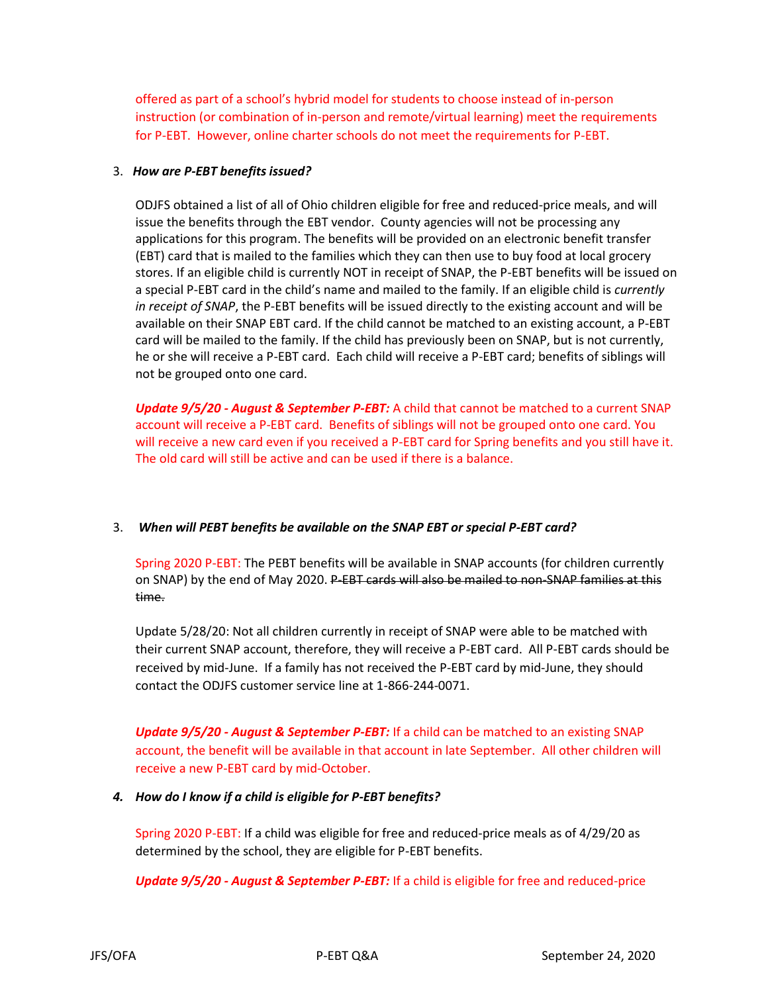offered as part of a school's hybrid model for students to choose instead of in-person instruction (or combination of in-person and remote/virtual learning) meet the requirements for P-EBT. However, online charter schools do not meet the requirements for P-EBT.

#### 3. *How are P-EBT benefits issued?*

ODJFS obtained a list of all of Ohio children eligible for free and reduced-price meals, and will issue the benefits through the EBT vendor. County agencies will not be processing any applications for this program. The benefits will be provided on an electronic benefit transfer (EBT) card that is mailed to the families which they can then use to buy food at local grocery stores. If an eligible child is currently NOT in receipt of SNAP, the P-EBT benefits will be issued on a special P-EBT card in the child's name and mailed to the family. If an eligible child is *currently in receipt of SNAP*, the P-EBT benefits will be issued directly to the existing account and will be available on their SNAP EBT card. If the child cannot be matched to an existing account, a P-EBT card will be mailed to the family. If the child has previously been on SNAP, but is not currently, he or she will receive a P-EBT card. Each child will receive a P-EBT card; benefits of siblings will not be grouped onto one card.

*Update 9/5/20 - August & September P-EBT:* A child that cannot be matched to a current SNAP account will receive a P-EBT card. Benefits of siblings will not be grouped onto one card. You will receive a new card even if you received a P-EBT card for Spring benefits and you still have it. The old card will still be active and can be used if there is a balance.

# 3. *When will PEBT benefits be available on the SNAP EBT or special P-EBT card?*

Spring 2020 P-EBT: The PEBT benefits will be available in SNAP accounts (for children currently on SNAP) by the end of May 2020. P-EBT cards will also be mailed to non-SNAP families at this time.

Update 5/28/20: Not all children currently in receipt of SNAP were able to be matched with their current SNAP account, therefore, they will receive a P-EBT card. All P-EBT cards should be received by mid-June. If a family has not received the P-EBT card by mid-June, they should contact the ODJFS customer service line at 1-866-244-0071.

*Update 9/5/20 - August & September P-EBT:* If a child can be matched to an existing SNAP account, the benefit will be available in that account in late September. All other children will receive a new P-EBT card by mid-October.

#### *4. How do I know if a child is eligible for P-EBT benefits?*

Spring 2020 P-EBT: If a child was eligible for free and reduced-price meals as of 4/29/20 as determined by the school, they are eligible for P-EBT benefits.

*Update 9/5/20 - August & September P-EBT:* If a child is eligible for free and reduced-price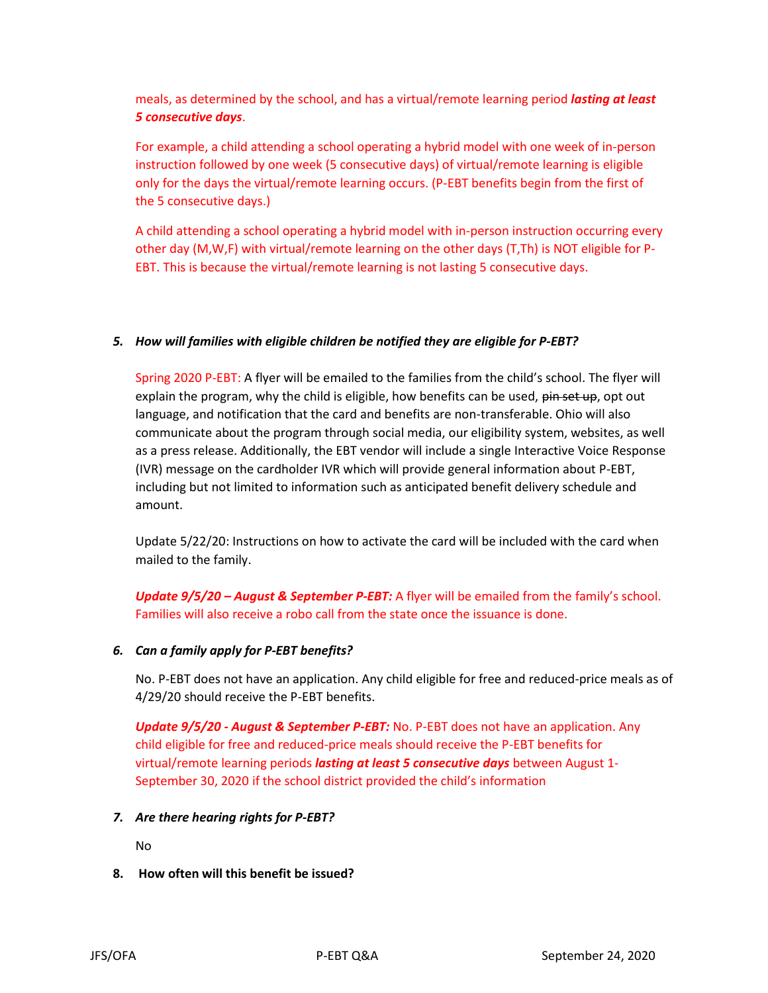meals, as determined by the school, and has a virtual/remote learning period *lasting at least 5 consecutive days*.

For example, a child attending a school operating a hybrid model with one week of in-person instruction followed by one week (5 consecutive days) of virtual/remote learning is eligible only for the days the virtual/remote learning occurs. (P-EBT benefits begin from the first of the 5 consecutive days.)

A child attending a school operating a hybrid model with in-person instruction occurring every other day (M,W,F) with virtual/remote learning on the other days (T,Th) is NOT eligible for P-EBT. This is because the virtual/remote learning is not lasting 5 consecutive days.

## *5. How will families with eligible children be notified they are eligible for P-EBT?*

Spring 2020 P-EBT: A flyer will be emailed to the families from the child's school. The flyer will explain the program, why the child is eligible, how benefits can be used, pin set up, opt out language, and notification that the card and benefits are non-transferable. Ohio will also communicate about the program through social media, our eligibility system, websites, as well as a press release. Additionally, the EBT vendor will include a single Interactive Voice Response (IVR) message on the cardholder IVR which will provide general information about P-EBT, including but not limited to information such as anticipated benefit delivery schedule and amount.

Update 5/22/20: Instructions on how to activate the card will be included with the card when mailed to the family.

*Update 9/5/20 – August & September P-EBT:* A flyer will be emailed from the family's school. Families will also receive a robo call from the state once the issuance is done.

# *6. Can a family apply for P-EBT benefits?*

No. P-EBT does not have an application. Any child eligible for free and reduced-price meals as of 4/29/20 should receive the P-EBT benefits.

*Update 9/5/20 - August & September P-EBT:* No. P-EBT does not have an application. Any child eligible for free and reduced-price meals should receive the P-EBT benefits for virtual/remote learning periods *lasting at least 5 consecutive days* between August 1- September 30, 2020 if the school district provided the child's information

#### *7. Are there hearing rights for P-EBT?*

No

**8. How often will this benefit be issued?**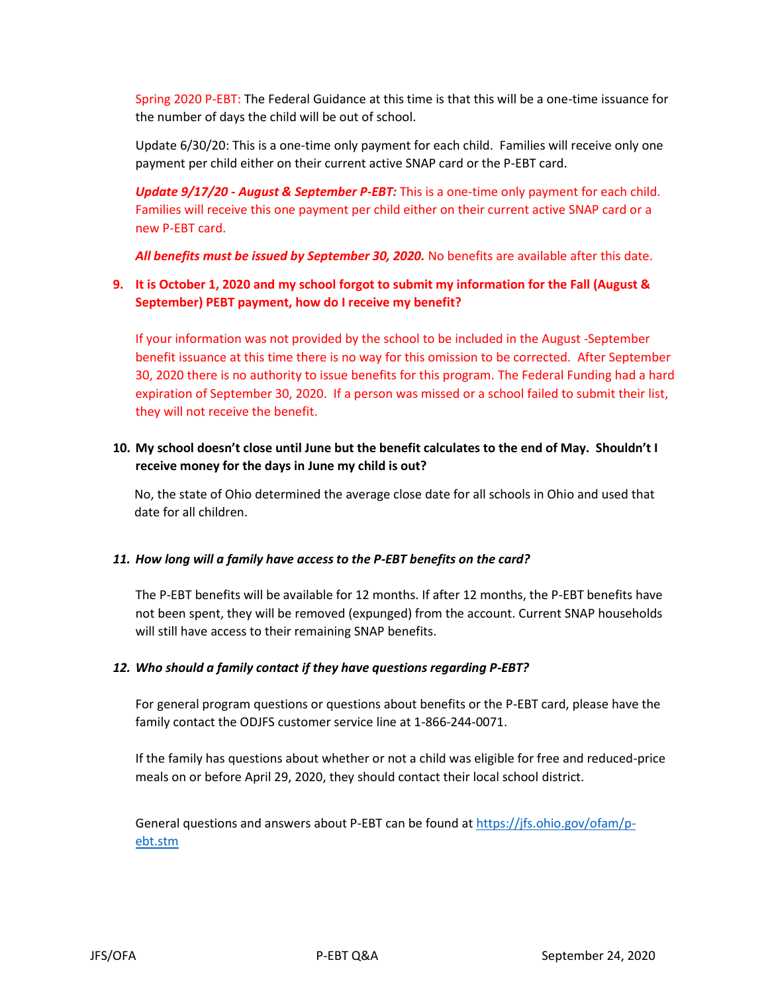Spring 2020 P-EBT: The Federal Guidance at this time is that this will be a one-time issuance for the number of days the child will be out of school.

Update 6/30/20: This is a one-time only payment for each child. Families will receive only one payment per child either on their current active SNAP card or the P-EBT card.

*Update 9/17/20 - August & September P-EBT:* This is a one-time only payment for each child. Families will receive this one payment per child either on their current active SNAP card or a new P-EBT card.

*All benefits must be issued by September 30, 2020.* No benefits are available after this date.

# **9. It is October 1, 2020 and my school forgot to submit my information for the Fall (August & September) PEBT payment, how do I receive my benefit?**

If your information was not provided by the school to be included in the August -September benefit issuance at this time there is no way for this omission to be corrected. After September 30, 2020 there is no authority to issue benefits for this program. The Federal Funding had a hard expiration of September 30, 2020. If a person was missed or a school failed to submit their list, they will not receive the benefit.

## **10. My school doesn't close until June but the benefit calculates to the end of May. Shouldn't I receive money for the days in June my child is out?**

No, the state of Ohio determined the average close date for all schools in Ohio and used that date for all children.

#### *11. How long will a family have access to the P-EBT benefits on the card?*

The P-EBT benefits will be available for 12 months. If after 12 months, the P-EBT benefits have not been spent, they will be removed (expunged) from the account. Current SNAP households will still have access to their remaining SNAP benefits.

#### *12. Who should a family contact if they have questions regarding P-EBT?*

For general program questions or questions about benefits or the P-EBT card, please have the family contact the ODJFS customer service line at 1-866-244-0071.

If the family has questions about whether or not a child was eligible for free and reduced-price meals on or before April 29, 2020, they should contact their local school district.

General questions and answers about P-EBT can be found a[t https://jfs.ohio.gov/ofam/p](https://jfs.ohio.gov/ofam/p-ebt.stm)[ebt.stm](https://jfs.ohio.gov/ofam/p-ebt.stm)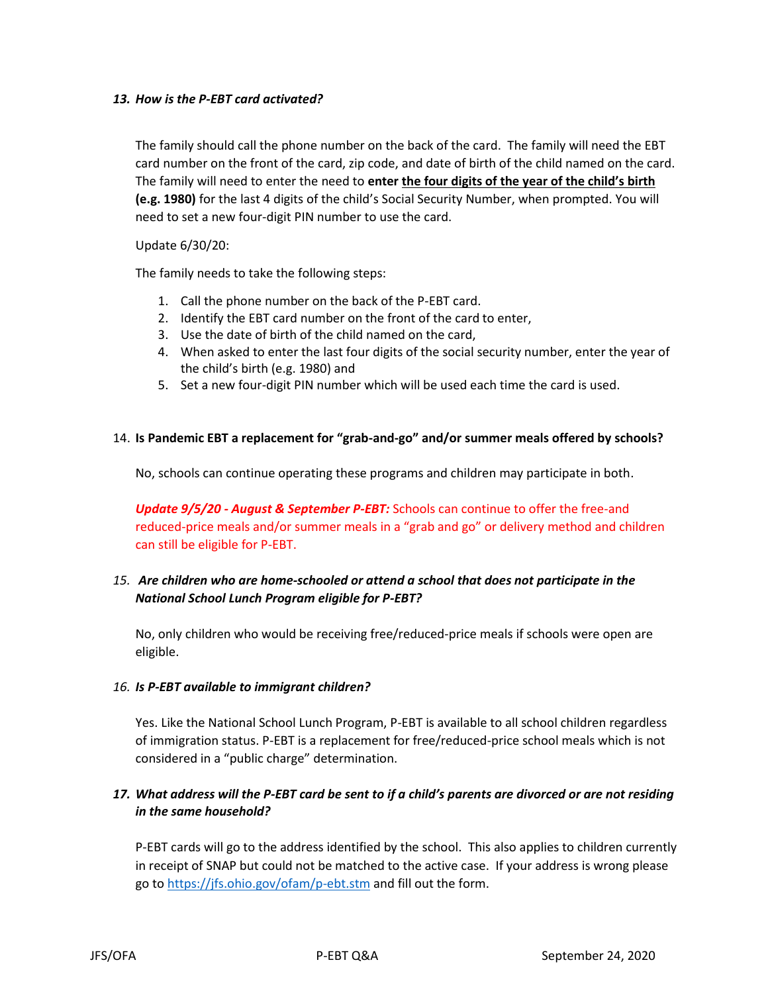#### *13. How is the P-EBT card activated?*

The family should call the phone number on the back of the card. The family will need the EBT card number on the front of the card, zip code, and date of birth of the child named on the card. The family will need to enter the need to **enter the four digits of the year of the child's birth (e.g. 1980)** for the last 4 digits of the child's Social Security Number, when prompted. You will need to set a new four-digit PIN number to use the card.

#### Update 6/30/20:

The family needs to take the following steps:

- 1. Call the phone number on the back of the P-EBT card.
- 2. Identify the EBT card number on the front of the card to enter,
- 3. Use the date of birth of the child named on the card,
- 4. When asked to enter the last four digits of the social security number, enter the year of the child's birth (e.g. 1980) and
- 5. Set a new four-digit PIN number which will be used each time the card is used.

## 14. **Is Pandemic EBT a replacement for "grab-and-go" and/or summer meals offered by schools?**

No, schools can continue operating these programs and children may participate in both.

*Update 9/5/20 - August & September P-EBT:* Schools can continue to offer the free-and reduced-price meals and/or summer meals in a "grab and go" or delivery method and children can still be eligible for P-EBT.

# *15. Are children who are home-schooled or attend a school that does not participate in the National School Lunch Program eligible for P-EBT?*

No, only children who would be receiving free/reduced-price meals if schools were open are eligible.

#### *16. Is P-EBT available to immigrant children?*

Yes. Like the National School Lunch Program, P-EBT is available to all school children regardless of immigration status. P-EBT is a replacement for free/reduced-price school meals which is not considered in a "public charge" determination.

# *17. What address will the P-EBT card be sent to if a child's parents are divorced or are not residing in the same household?*

P-EBT cards will go to the address identified by the school. This also applies to children currently in receipt of SNAP but could not be matched to the active case. If your address is wrong please go to<https://jfs.ohio.gov/ofam/p-ebt.stm> and fill out the form.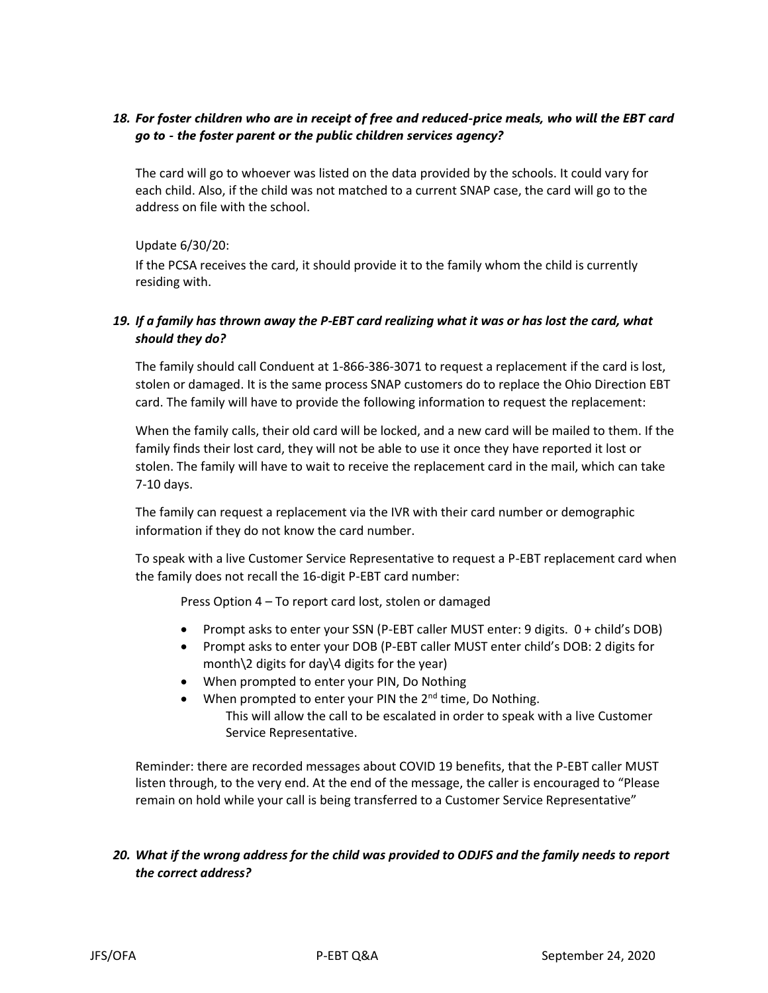# *18. For foster children who are in receipt of free and reduced-price meals, who will the EBT card go to - the foster parent or the public children services agency?*

The card will go to whoever was listed on the data provided by the schools. It could vary for each child. Also, if the child was not matched to a current SNAP case, the card will go to the address on file with the school.

#### Update 6/30/20:

If the PCSA receives the card, it should provide it to the family whom the child is currently residing with.

# *19. If a family has thrown away the P-EBT card realizing what it was or has lost the card, what should they do?*

The family should call Conduent at 1-866-386-3071 to request a replacement if the card is lost, stolen or damaged. It is the same process SNAP customers do to replace the Ohio Direction EBT card. The family will have to provide the following information to request the replacement:

When the family calls, their old card will be locked, and a new card will be mailed to them. If the family finds their lost card, they will not be able to use it once they have reported it lost or stolen. The family will have to wait to receive the replacement card in the mail, which can take 7-10 days.

The family can request a replacement via the IVR with their card number or demographic information if they do not know the card number.

To speak with a live Customer Service Representative to request a P-EBT replacement card when the family does not recall the 16-digit P-EBT card number:

Press Option 4 – To report card lost, stolen or damaged

- Prompt asks to enter your SSN (P-EBT caller MUST enter: 9 digits. 0 + child's DOB)
- Prompt asks to enter your DOB (P-EBT caller MUST enter child's DOB: 2 digits for month\2 digits for day\4 digits for the year)
- When prompted to enter your PIN, Do Nothing
- When prompted to enter your PIN the  $2<sup>nd</sup>$  time, Do Nothing. This will allow the call to be escalated in order to speak with a live Customer Service Representative.

Reminder: there are recorded messages about COVID 19 benefits, that the P-EBT caller MUST listen through, to the very end. At the end of the message, the caller is encouraged to "Please remain on hold while your call is being transferred to a Customer Service Representative"

# *20. What if the wrong address for the child was provided to ODJFS and the family needs to report the correct address?*